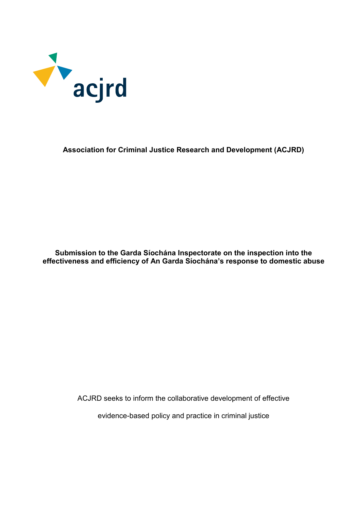

## **Association for Criminal Justice Research and Development (ACJRD)**

**Submission to the Garda Síochána Inspectorate on the inspection into the effectiveness and efficiency of An Garda Síochána's response to domestic abuse**

ACJRD seeks to inform the collaborative development of effective

evidence-based policy and practice in criminal justice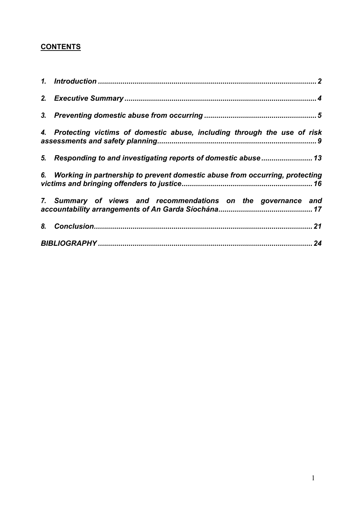# **CONTENTS**

| 4. Protecting victims of domestic abuse, including through the use of risk     |
|--------------------------------------------------------------------------------|
| 5. Responding to and investigating reports of domestic abuse 13                |
| 6. Working in partnership to prevent domestic abuse from occurring, protecting |
| 7. Summary of views and recommendations on the governance and                  |
|                                                                                |
|                                                                                |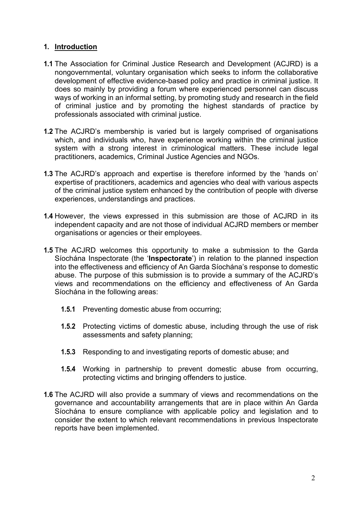# <span id="page-2-0"></span>**1. Introduction**

- **1.1** The Association for Criminal Justice Research and Development (ACJRD) is a nongovernmental, voluntary organisation which seeks to inform the collaborative development of effective evidence-based policy and practice in criminal justice. It does so mainly by providing a forum where experienced personnel can discuss ways of working in an informal setting, by promoting study and research in the field of criminal justice and by promoting the highest standards of practice by professionals associated with criminal justice.
- **1.2** The ACJRD's membership is varied but is largely comprised of organisations which, and individuals who, have experience working within the criminal justice system with a strong interest in criminological matters. These include legal practitioners, academics, Criminal Justice Agencies and NGOs.
- **1.3** The ACJRD's approach and expertise is therefore informed by the 'hands on' expertise of practitioners, academics and agencies who deal with various aspects of the criminal justice system enhanced by the contribution of people with diverse experiences, understandings and practices.
- **1.4** However, the views expressed in this submission are those of ACJRD in its independent capacity and are not those of individual ACJRD members or member organisations or agencies or their employees.
- **1.5** The ACJRD welcomes this opportunity to make a submission to the Garda Síochána Inspectorate (the '**Inspectorate**') in relation to the planned inspection into the effectiveness and efficiency of An Garda Síochána's response to domestic abuse. The purpose of this submission is to provide a summary of the ACJRD's views and recommendations on the efficiency and effectiveness of An Garda Síochána in the following areas:
	- **1.5.1** Preventing domestic abuse from occurring;
	- **1.5.2** Protecting victims of domestic abuse, including through the use of risk assessments and safety planning;
	- **1.5.3** Responding to and investigating reports of domestic abuse; and
	- **1.5.4** Working in partnership to prevent domestic abuse from occurring, protecting victims and bringing offenders to justice.
- **1.6** The ACJRD will also provide a summary of views and recommendations on the governance and accountability arrangements that are in place within An Garda Síochána to ensure compliance with applicable policy and legislation and to consider the extent to which relevant recommendations in previous Inspectorate reports have been implemented.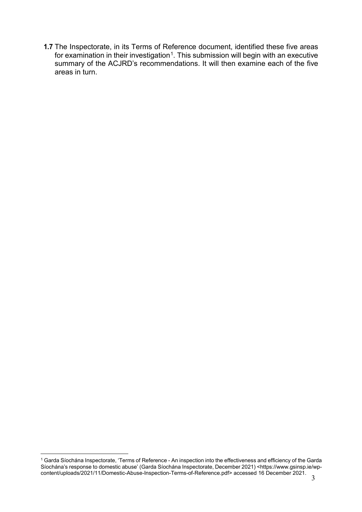**1.7** The Inspectorate, in its Terms of Reference document, identified these five areas for examination in their investigation<sup>[1](#page-3-0)</sup>. This submission will begin with an executive summary of the ACJRD's recommendations. It will then examine each of the five areas in turn.

<span id="page-3-0"></span><sup>3</sup>  $\overline{a}$  $^{\rm 1}$  Garda Síochána Inspectorate, 'Terms of Reference - An inspection into the effectiveness and efficiency of the Garda Síochána's response to domestic abuse' (Garda Síochána Inspectorate, December 2021) <https://www.gsinsp.ie/wpcontent/uploads/2021/11/Domestic-Abuse-Inspection-Terms-of-Reference.pdf> accessed 16 December 2021.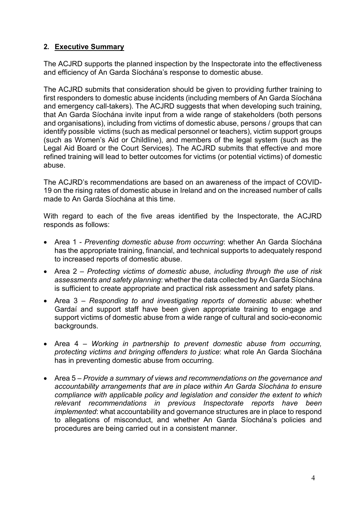# <span id="page-4-0"></span>**2. Executive Summary**

The ACJRD supports the planned inspection by the Inspectorate into the effectiveness and efficiency of An Garda Síochána's response to domestic abuse.

The ACJRD submits that consideration should be given to providing further training to first responders to domestic abuse incidents (including members of An Garda Síochána and emergency call-takers). The ACJRD suggests that when developing such training, that An Garda Síochána invite input from a wide range of stakeholders (both persons and organisations), including from victims of domestic abuse, persons / groups that can identify possible victims (such as medical personnel or teachers), victim support groups (such as Women's Aid or Childline), and members of the legal system (such as the Legal Aid Board or the Court Services). The ACJRD submits that effective and more refined training will lead to better outcomes for victims (or potential victims) of domestic abuse.

The ACJRD's recommendations are based on an awareness of the impact of COVID-19 on the rising rates of domestic abuse in Ireland and on the increased number of calls made to An Garda Síochána at this time.

With regard to each of the five areas identified by the Inspectorate, the ACJRD responds as follows:

- Area 1 *Preventing domestic abuse from occurring*: whether An Garda Síochána has the appropriate training, financial, and technical supports to adequately respond to increased reports of domestic abuse.
- Area 2 *Protecting victims of domestic abuse, including through the use of risk assessments and safety planning*: whether the data collected by An Garda Síochána is sufficient to create appropriate and practical risk assessment and safety plans.
- Area 3 *Responding to and investigating reports of domestic abuse*: whether Gardaí and support staff have been given appropriate training to engage and support victims of domestic abuse from a wide range of cultural and socio-economic backgrounds.
- Area 4 *Working in partnership to prevent domestic abuse from occurring, protecting victims and bringing offenders to justice*: what role An Garda Síochána has in preventing domestic abuse from occurring.
- Area 5 *Provide a summary of views and recommendations on the governance and accountability arrangements that are in place within An Garda Síochána to ensure compliance with applicable policy and legislation and consider the extent to which relevant recommendations in previous Inspectorate reports have been implemented*: what accountability and governance structures are in place to respond to allegations of misconduct, and whether An Garda Síochána's policies and procedures are being carried out in a consistent manner.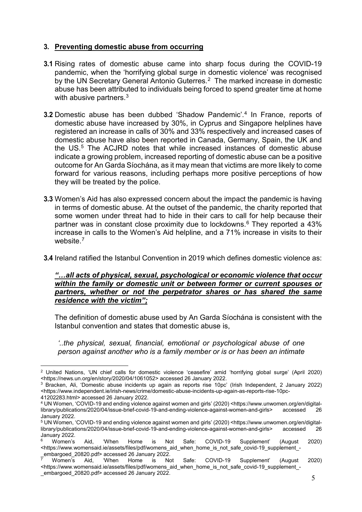# <span id="page-5-0"></span>**3. Preventing domestic abuse from occurring**

- **3.1** Rising rates of domestic abuse came into sharp focus during the COVID-19 pandemic, when the 'horrifying global surge in domestic violence' was recognised by the UN Secretary General Antonio Guterres.<sup>[2](#page-5-1)</sup> The marked increase in domestic abuse has been attributed to individuals being forced to spend greater time at home with abusive partners.<sup>[3](#page-5-2)</sup>
- **3.2** Domestic abuse has been dubbed 'Shadow Pandemic'.[4](#page-5-3) In France, reports of domestic abuse have increased by 30%, in Cyprus and Singapore helplines have registered an increase in calls of 30% and 33% respectively and increased cases of domestic abuse have also been reported in Canada, Germany, Spain, the UK and the US.<sup>[5](#page-5-4)</sup> The ACJRD notes that while increased instances of domestic abuse indicate a growing problem, increased reporting of domestic abuse can be a positive outcome for An Garda Síochána, as it may mean that victims are more likely to come forward for various reasons, including perhaps more positive perceptions of how they will be treated by the police.
- **3.3** Women's Aid has also expressed concern about the impact the pandemic is having in terms of domestic abuse. At the outset of the pandemic, the charity reported that some women under threat had to hide in their cars to call for help because their partner was in constant close proximity due to lockdowns.[6](#page-5-5) They reported a 43% increase in calls to the Women's Aid helpline, and a 71% increase in visits to their website.<sup>[7](#page-5-6)</sup>
- **3.4** Ireland ratified the Istanbul Convention in 2019 which defines domestic violence as:

#### *"…all acts of physical, sexual, psychological or economic violence that occur within the family or domestic unit or between former or current spouses or partners, whether or not the perpetrator shares or has shared the same residence with the victim";*

The definition of domestic abuse used by An Garda Síochána is consistent with the Istanbul convention and states that domestic abuse is,

*'..the physical, sexual, financial, emotional or psychological abuse of one person against another who is a family member or is or has been an intimate* 

<span id="page-5-1"></span> $\overline{a}$ <sup>2</sup> United Nations, 'UN chief calls for domestic violence 'ceasefire' amid 'horrifying global surge' (April 2020) <https://news.un.org/en/story/2020/04/1061052> accessed 26 January 2022.

<span id="page-5-2"></span><sup>3</sup> Bracken, Ali, 'Domestic abuse incidents up again as reports rise 10pc' (Irish Independent, 2 January 2022) <https://www.independent.ie/irish-news/crime/domestic-abuse-incidents-up-again-as-reports-rise-10pc-41202283.html> accessed 26 January 2022.

<span id="page-5-3"></span><sup>4</sup> UN Women, 'COVID-19 and ending violence against women and girls' (2020) <https://www.unwomen.org/en/digitallibrary/publications/2020/04/issue-brief-covid-19-and-ending-violence-against-women-and-girls> accessed 26 January 2022.

<span id="page-5-4"></span><sup>&</sup>lt;sup>5</sup> UN Women, 'COVID-19 and ending violence against women and girls' (2020) <https://www.unwomen.org/en/digital-<br>library/publications/2020/04/issue-brief-covid-19-and-ending-violence-against-women-and-girls> accessed 26 library/publications/2020/04/issue-brief-covid-19-and-ending-violence-against-women-and-girls> January 2022.

<span id="page-5-5"></span> $^6$  Women's Aid, 'When Home is Not Safe: COVID-19 Supplement' (August 2020) <https://www.womensaid.ie/assets/files/pdf/womens\_aid\_when\_home\_is\_not\_safe\_covid-19\_supplement\_- \_embargoed\_20820.pdf> accessed 26 January 2022.

<span id="page-5-6"></span> $^7$  Women's Aid, 'When Home is Not Safe: COVID-19 Supplement' (August 2020) <https://www.womensaid.ie/assets/files/pdf/womens\_aid\_when\_home\_is\_not\_safe\_covid-19\_supplement\_- \_embargoed\_20820.pdf> accessed 26 January 2022.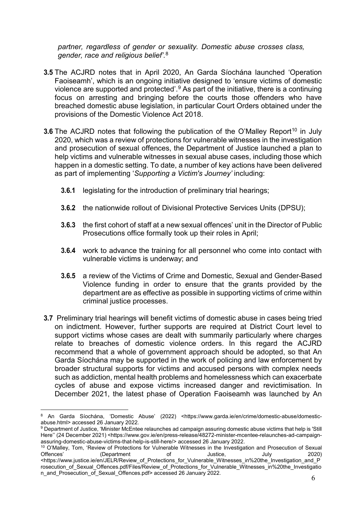*partner, regardless of gender or sexuality. Domestic abuse crosses class, gender, race and religious belief'*. [8](#page-6-0)

- **3.5** The ACJRD notes that in April 2020, An Garda Síochána launched 'Operation Faoiseamh', which is an ongoing initiative designed to 'ensure victims of domestic violence are supported and protected'.[9](#page-6-1) As part of the initiative, there is a continuing focus on arresting and bringing before the courts those offenders who have breached domestic abuse legislation, in particular Court Orders obtained under the provisions of the Domestic Violence Act 2018.
- **3.6** The ACJRD notes that following the publication of the O'Malley Report<sup>[10](#page-6-2)</sup> in July 2020, which was a review of protections for vulnerable witnesses in the investigation and prosecution of sexual offences, the Department of Justice launched a plan to help victims and vulnerable witnesses in sexual abuse cases, including those which happen in a domestic setting. To date, a number of key actions have been delivered as part of implementing '*Supporting a Victim's Journey'* including:
	- **3.6.1** legislating for the introduction of preliminary trial hearings;
	- **3.6.2** the nationwide rollout of Divisional Protective Services Units (DPSU);
	- **3.6.3** the first cohort of staff at a new sexual offences' unit in the Director of Public Prosecutions office formally took up their roles in April;
	- **3.6.4** work to advance the training for all personnel who come into contact with vulnerable victims is underway; and
	- **3.6.5** a review of the Victims of Crime and Domestic, Sexual and Gender-Based Violence funding in order to ensure that the grants provided by the department are as effective as possible in supporting victims of crime within criminal justice processes.
- **3.7** Preliminary trial hearings will benefit victims of domestic abuse in cases being tried on indictment. However, further supports are required at District Court level to support victims whose cases are dealt with summarily particularly where charges relate to breaches of domestic violence orders. In this regard the ACJRD recommend that a whole of government approach should be adopted, so that An Garda Síochána may be supported in the work of policing and law enforcement by broader structural supports for victims and accused persons with complex needs such as addiction, mental health problems and homelessness which can exacerbate cycles of abuse and expose victims increased danger and revictimisation. In December 2021, the latest phase of Operation Faoiseamh was launched by An

<span id="page-6-0"></span> $\overline{a}$ <sup>8</sup> An Garda Síochána, 'Domestic Abuse' (2022) <https://www.garda.ie/en/crime/domestic-abuse/domesticabuse.html> accessed 26 January 2022.

<span id="page-6-1"></span><sup>9</sup> Department of Justice, 'Minister McEntee relaunches ad campaign assuring domestic abuse victims that help is 'Still Here'' (24 December 2021) <https://www.gov.ie/en/press-release/48272-minister-mcentee-relaunches-ad-campaignassuring-domestic-abuse-victims-that-help-is-still-here/> accessed 26 January 2022.

<span id="page-6-2"></span><sup>&</sup>lt;sup>10</sup> O'Malley, Tom, 'Review of Protections for Vulnerable Witnesses in the Investigation and Prosecution of Sexual<br>Offences' (Department of Justice, July 2020) Offences' (Department of Justice, July 2020) <https://www.justice.ie/en/JELR/Review\_of\_Protections\_for\_Vulnerable\_Witnesses\_in%20the\_Investigation\_and\_P rosecution\_of\_Sexual\_Offences.pdf/Files/Review\_of\_Protections\_for\_Vulnerable\_Witnesses\_in%20the\_Investigatio n\_and\_Prosecution\_of\_Sexual\_Offences.pdf> accessed 26 January 2022.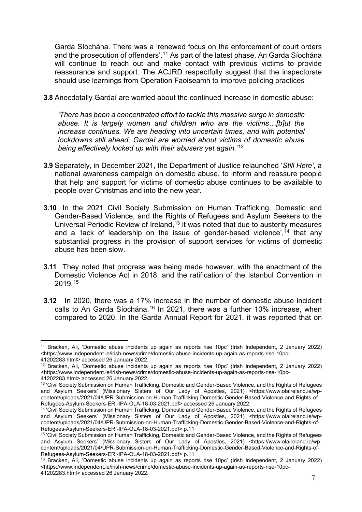Garda Síochána. There was a 'renewed focus on the enforcement of court orders and the prosecution of offenders'. [11](#page-7-0) As part of the latest phase, An Garda Síochána will continue to reach out and make contact with previous victims to provide reassurance and support. The ACJRD respectfully suggest that the inspectorate should use learnings from Operation Faoiseamh to improve policing practices

**3.8** Anecdotally Gardaí are worried about the continued increase in domestic abuse:

*'There has been a concentrated effort to tackle this massive surge in domestic abuse. It is largely women and children who are the victims…[b]ut the increase continues. We are heading into uncertain times, and with potential lockdowns still ahead, Gardaí are worried about victims of domestic abuse being effectively locked up with their abusers yet again.'* [12](#page-7-1)

- **3.9** Separately, in December 2021, the Department of Justice relaunched '*Still Here'*, a national awareness campaign on domestic abuse, to inform and reassure people that help and support for victims of domestic abuse continues to be available to people over Christmas and into the new year.
- **3.10** In the 2021 Civil Society Submission on Human Trafficking, Domestic and Gender-Based Violence, and the Rights of Refugees and Asylum Seekers to the Universal Periodic Review of Ireland,<sup>[13](#page-7-2)</sup> it was noted that due to austerity measures and a 'lack of leadership on the issue of gender-based violence',  $14$  that any substantial progress in the provision of support services for victims of domestic abuse has been slow.
- **3.11** They noted that progress was being made however, with the enactment of the Domestic Violence Act in 2018, and the ratification of the Istanbul Convention in 2019.[15](#page-7-4)
- **3.12** In 2020, there was a 17% increase in the number of domestic abuse incident calls to An Garda Síochána.<sup>[16](#page-7-5)</sup> In 2021, there was a further 10% increase, when compared to 2020. In the Garda Annual Report for 2021, it was reported that on

 $\overline{a}$ 

<span id="page-7-0"></span><sup>11</sup> Bracken, Ali, 'Domestic abuse incidents up again as reports rise 10pc' (Irish Independent, 2 January 2022) <https://www.independent.ie/irish-news/crime/domestic-abuse-incidents-up-again-as-reports-rise-10pc-41202283.html> accessed 26 January 2022.

<span id="page-7-1"></span><sup>12</sup> Bracken, Ali, 'Domestic abuse incidents up again as reports rise 10pc' (Irish Independent, 2 January 2022) <https://www.independent.ie/irish-news/crime/domestic-abuse-incidents-up-again-as-reports-rise-10pc-41202283.html> accessed 26 January 2022.

<span id="page-7-2"></span><sup>13 &#</sup>x27;Civil Society Submission on Human Trafficking, Domestic and Gender-Based Violence, and the Rights of Refugees and Asylum Seekers' (Missionary Sisters of Our Lady of Apostles, 2021) <https://www.olaireland.ie/wpcontent/uploads/2021/04/UPR-Submission-on-Human-Trafficking-Domestic-Gender-Based-Violence-and-Rights-of-Refugees-Asylum-Seekers-ERI-IPA-OLA-18-03-2021.pdf> accessed 26 January 2022.

<span id="page-7-3"></span><sup>&</sup>lt;sup>14</sup> 'Civil Society Submission on Human Trafficking, Domestic and Gender-Based Violence, and the Rights of Refugees and Asylum Seekers' (Missionary Sisters of Our Lady of Apostles, 2021) <https://www.olaireland.ie/wpcontent/uploads/2021/04/UPR-Submission-on-Human-Trafficking-Domestic-Gender-Based-Violence-and-Rights-of-Refugees-Asylum-Seekers-ERI-IPA-OLA-18-03-2021.pdf> p.11

<span id="page-7-4"></span><sup>15</sup> 'Civil Society Submission on Human Trafficking, Domestic and Gender-Based Violence, and the Rights of Refugees and Asylum Seekers' (Missionary Sisters of Our Lady of Apostles, 2021) <https://www.olaireland.ie/wpcontent/uploads/2021/04/UPR-Submission-on-Human-Trafficking-Domestic-Gender-Based-Violence-and-Rights-of-Refugees-Asylum-Seekers-ERI-IPA-OLA-18-03-2021.pdf> p.11

<span id="page-7-5"></span><sup>16</sup> Bracken, Ali, 'Domestic abuse incidents up again as reports rise 10pc' (Irish Independent, 2 January 2022) <https://www.independent.ie/irish-news/crime/domestic-abuse-incidents-up-again-as-reports-rise-10pc-41202283.html> accessed 26 January 2022.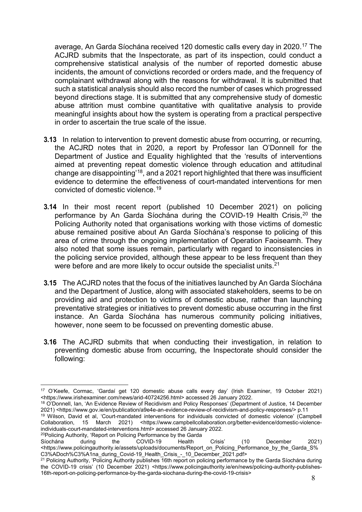average, An Garda Síochána received 120 domestic calls every day in 2020. [17](#page-8-0) The ACJRD submits that the Inspectorate, as part of its inspection, could conduct a comprehensive statistical analysis of the number of reported domestic abuse incidents, the amount of convictions recorded or orders made, and the frequency of complainant withdrawal along with the reasons for withdrawal. It is submitted that such a statistical analysis should also record the number of cases which progressed beyond directions stage. It is submitted that any comprehensive study of domestic abuse attrition must combine quantitative with qualitative analysis to provide meaningful insights about how the system is operating from a practical perspective in order to ascertain the true scale of the issue.

- **3.13** In relation to intervention to prevent domestic abuse from occurring, or recurring, the ACJRD notes that in 2020, a report by Professor Ian O'Donnell for the Department of Justice and Equality highlighted that the 'results of interventions aimed at preventing repeat domestic violence through education and attitudinal change are disappointing'[18,](#page-8-1) and a 2021 report highlighted that there was insufficient evidence to determine the effectiveness of court-mandated interventions for men convicted of domestic violence.[19](#page-8-2)
- **3.14** In their most recent report (published 10 December 2021) on policing performance by An Garda Síochána during the COVID-19 Health Crisis,<sup>[20](#page-8-3)</sup> the Policing Authority noted that organisations working with those victims of domestic abuse remained positive about An Garda Síochána's response to policing of this area of crime through the ongoing implementation of Operation Faoiseamh. They also noted that some issues remain, particularly with regard to inconsistencies in the policing service provided, although these appear to be less frequent than they were before and are more likely to occur outside the specialist units.<sup>[21](#page-8-4)</sup>
- **3.15** The ACJRD notes that the focus of the initiatives launched by An Garda Síochána and the Department of Justice, along with associated stakeholders, seems to be on providing aid and protection to victims of domestic abuse, rather than launching preventative strategies or initiatives to prevent domestic abuse occurring in the first instance. An Garda Síochána has numerous community policing initiatives, however, none seem to be focussed on preventing domestic abuse.
- **3.16** The ACJRD submits that when conducting their investigation, in relation to preventing domestic abuse from occurring, the Inspectorate should consider the following:

<span id="page-8-1"></span><sup>18</sup> O'Donnell, Ian, 'An Evidence Review of Recidivism and Policy Responses' (Department of Justice, 14 December 2021) <https://www.gov.ie/en/publication/a9e4e-an-evidence-review-of-recidivism-and-policy-responses/> p.11

<span id="page-8-2"></span><sup>19</sup> Wilson, David et al, 'Court-mandated interventions for individuals convicted of domestic violence' (Campbell Collaboration, 15 March 2021) <https://www.campbellcollaboration.org/better-evidence/domestic-violenceindividuals-court-mandated-interventions.html> accessed 26 January 2022. <sup>20</sup>Policing Authority, 'Report on Policing Performance by the Garda

<span id="page-8-3"></span>Síochána during the COVID-19 Health Crisis' (10 December 2021) <https://www.policingauthority.ie/assets/uploads/documents/Report\_on\_Policing\_Performance\_by\_the\_Garda\_S% C3%ADoch%C3%A1na\_during\_Covid-19\_Health\_Crisis\_-\_10\_December\_2021.pdf>

<span id="page-8-0"></span> $\overline{a}$ <sup>17</sup> O'Keefe, Cormac, 'Gardaí get 120 domestic abuse calls every day' (Irish Examiner, 19 October 2021) <https://www.irishexaminer.com/news/arid-40724256.html> accessed 26 January 2022.

<span id="page-8-4"></span><sup>&</sup>lt;sup>21</sup> Policing Authority, 'Policing Authority publishes 16th report on policing performance by the Garda Síochána during the COVID-19 crisis' (10 December 2021) <https://www.policingauthority.ie/en/news/policing-authority-publishes-16th-report-on-policing-performance-by-the-garda-siochana-during-the-covid-19-crisis>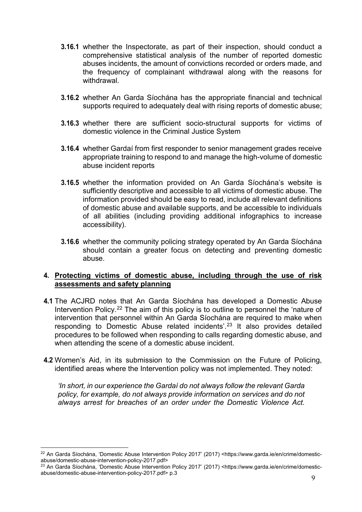- **3.16.1** whether the Inspectorate, as part of their inspection, should conduct a comprehensive statistical analysis of the number of reported domestic abuses incidents, the amount of convictions recorded or orders made, and the frequency of complainant withdrawal along with the reasons for withdrawal.
- **3.16.2** whether An Garda Síochána has the appropriate financial and technical supports required to adequately deal with rising reports of domestic abuse;
- **3.16.3** whether there are sufficient socio-structural supports for victims of domestic violence in the Criminal Justice System
- **3.16.4** whether Gardaí from first responder to senior management grades receive appropriate training to respond to and manage the high-volume of domestic abuse incident reports
- **3.16.5** whether the information provided on An Garda Síochána's website is sufficiently descriptive and accessible to all victims of domestic abuse. The information provided should be easy to read, include all relevant definitions of domestic abuse and available supports, and be accessible to individuals of all abilities (including providing additional infographics to increase accessibility).
- **3.16.6** whether the community policing strategy operated by An Garda Síochána should contain a greater focus on detecting and preventing domestic abuse.

## <span id="page-9-0"></span>**4. Protecting victims of domestic abuse, including through the use of risk assessments and safety planning**

- **4.1** The ACJRD notes that An Garda Síochána has developed a Domestic Abuse Intervention Policy.<sup>[22](#page-9-1)</sup> The aim of this policy is to outline to personnel the 'nature of intervention that personnel within An Garda Síochána are required to make when responding to Domestic Abuse related incidents'.[23](#page-9-2) It also provides detailed procedures to be followed when responding to calls regarding domestic abuse, and when attending the scene of a domestic abuse incident.
- **4.2** Women's Aid, in its submission to the Commission on the Future of Policing, identified areas where the Intervention policy was not implemented. They noted:

*'In short, in our experience the Gardaí do not always follow the relevant Garda policy, for example, do not always provide information on services and do not always arrest for breaches of an order under the Domestic Violence Act.* 

<span id="page-9-1"></span> $\overline{a}$ <sup>22</sup> An Garda Síochána, 'Domestic Abuse Intervention Policy 2017' (2017) <https://www.garda.ie/en/crime/domesticabuse/domestic-abuse-intervention-policy-2017.pdf>

<span id="page-9-2"></span><sup>23</sup> An Garda Síochána, 'Domestic Abuse Intervention Policy 2017' (2017) <https://www.garda.ie/en/crime/domesticabuse/domestic-abuse-intervention-policy-2017.pdf> p.3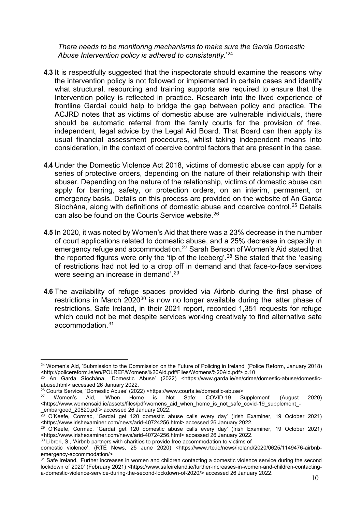*There needs to be monitoring mechanisms to make sure the Garda Domestic Abuse Intervention policy is adhered to consistently.*' [24](#page-10-0)

- **4.3** It is respectfully suggested that the inspectorate should examine the reasons why the intervention policy is not followed or implemented in certain cases and identify what structural, resourcing and training supports are required to ensure that the Intervention policy is reflected in practice. Research into the lived experience of frontline Gardaí could help to bridge the gap between policy and practice. The ACJRD notes that as victims of domestic abuse are vulnerable individuals, there should be automatic referral from the family courts for the provision of free, independent, legal advice by the Legal Aid Board. That Board can then apply its usual financial assessment procedures, whilst taking independent means into consideration, in the context of coercive control factors that are present in the case.
- **4.4** Under the Domestic Violence Act 2018, victims of domestic abuse can apply for a series of protective orders, depending on the nature of their relationship with their abuser. Depending on the nature of the relationship, victims of domestic abuse can apply for barring, safety, or protection orders, on an interim, permanent, or emergency basis. Details on this process are provided on the website of An Garda Síochána, along with definitions of domestic abuse and coercive control.[25](#page-10-1) Details can also be found on the Courts Service website.<sup>[26](#page-10-2)</sup>
- **4.5** In 2020, it was noted by Women's Aid that there was a 23% decrease in the number of court applications related to domestic abuse, and a 25% decrease in capacity in emergency refuge and accommodation.[27](#page-10-3) Sarah Benson of Women's Aid stated that the reported figures were only the 'tip of the iceberg'.<sup>[28](#page-10-4)</sup> She stated that the 'easing of restrictions had not led to a drop off in demand and that face-to-face services were seeing an increase in demand'.[29](#page-10-5)
- **4.6** The availability of refuge spaces provided via Airbnb during the first phase of restrictions in March  $2020^{30}$  $2020^{30}$  $2020^{30}$  is now no longer available during the latter phase of restrictions. Safe Ireland, in their 2021 report, recorded 1,351 requests for refuge which could not be met despite services working creatively to find alternative safe accommodation.[31](#page-10-7)

<span id="page-10-0"></span> $\overline{a}$ <sup>24</sup> Women's Aid, 'Submission to the Commission on the Future of Policing in Ireland' (Police Reform, January 2018) <http://policereform.ie/en/POLREF/Womens%20Aid.pdf/Files/Womens%20Aid.pdf> p.10

<span id="page-10-1"></span><sup>25</sup> An Garda Síochána, 'Domestic Abuse' (2022) <https://www.garda.ie/en/crime/domestic-abuse/domesticabuse.html> accessed 26 January 2022.

<span id="page-10-2"></span><sup>&</sup>lt;sup>26</sup> Courts Service, 'Domestic Abuse' (2022) <https://www.courts.ie/domestic-abuse><br><sup>27</sup> Women's Aid, 'When Home is Not Safe: COVID-19 Supplement'

<span id="page-10-3"></span><sup>&</sup>lt;sup>27</sup> Women's Aid, 'When Home is Not Safe: COVID-19 Supplement' (August 2020) <https://www.womensaid.ie/assets/files/pdf/womens\_aid\_when\_home\_is\_not\_safe\_covid-19\_supplement\_ embargoed 20820.pdf> accessed 26 January 2022.

<span id="page-10-4"></span><sup>28</sup> O'Keefe, Cormac, 'Gardaí get 120 domestic abuse calls every day' (Irish Examiner, 19 October 2021) <https://www.irishexaminer.com/news/arid-40724256.html> accessed 26 January 2022.

<span id="page-10-5"></span><sup>&</sup>lt;sup>29</sup> O'Keefe, Cormac, 'Gardaí get 120 domestic abuse calls every day' (Irish Examiner, 19 October 2021) <https://www.irishexaminer.com/news/arid-40724256.html> accessed 26 January 2022.

<span id="page-10-6"></span><sup>&</sup>lt;sup>30</sup> Libreri, S., 'Airbnb partners with charities to provide free accommodation to victims of

domestic violence', (RTÉ News, 25 June 2020) <https://www.rte.ie/news/ireland/2020/0625/1149476-airbnbemergency-accommodation/>

<span id="page-10-7"></span><sup>&</sup>lt;sup>31</sup> Safe Ireland, 'Further increases in women and children contacting a domestic violence service during the second lockdown of 2020' (February 2021) <https://www.safeireland.ie/further-increases-in-women-and-children-contactinga-domestic-violence-service-during-the-second-lockdown-of-2020/> accessed 26 January 2022.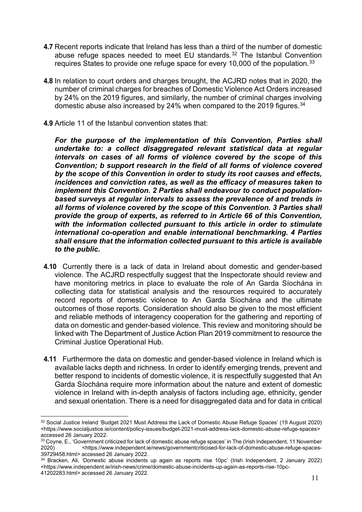- **4.7** Recent reports indicate that Ireland has less than a third of the number of domestic abuse refuge spaces needed to meet EU standards.<sup>[32](#page-11-0)</sup> The Istanbul Convention requires States to provide one refuge space for every 10,000 of the population. [33](#page-11-1)
- **4.8** In relation to court orders and charges brought, the ACJRD notes that in 2020, the number of criminal charges for breaches of Domestic Violence Act Orders increased by 24% on the 2019 figures, and similarly, the number of criminal charges involving domestic abuse also increased by 24% when compared to the 2019 figures.<sup>34</sup>
- **4.9** Article 11 of the Istanbul convention states that:

*For the purpose of the implementation of this Convention, Parties shall undertake to: a collect disaggregated relevant statistical data at regular intervals on cases of all forms of violence covered by the scope of this Convention; b support research in the field of all forms of violence covered by the scope of this Convention in order to study its root causes and effects, incidences and conviction rates, as well as the efficacy of measures taken to implement this Convention. 2 Parties shall endeavour to conduct populationbased surveys at regular intervals to assess the prevalence of and trends in all forms of violence covered by the scope of this Convention. 3 Parties shall provide the group of experts, as referred to in Article 66 of this Convention, with the information collected pursuant to this article in order to stimulate international co-operation and enable international benchmarking. 4 Parties shall ensure that the information collected pursuant to this article is available to the public.*

- **4.10** Currently there is a lack of data in Ireland about domestic and gender-based violence. The ACJRD respectfully suggest that the Inspectorate should review and have monitoring metrics in place to evaluate the role of An Garda Síochána in collecting data for statistical analysis and the resources required to accurately record reports of domestic violence to An Garda Síochána and the ultimate outcomes of those reports. Consideration should also be given to the most efficient and reliable methods of interagency cooperation for the gathering and reporting of data on domestic and gender-based violence. This review and monitoring should be linked with The Department of Justice Action Plan 2019 commitment to resource the Criminal Justice Operational Hub.
- **4.11** Furthermore the data on domestic and gender-based violence in Ireland which is available lacks depth and richness. In order to identify emerging trends, prevent and better respond to incidents of domestic violence, it is respectfully suggested that An Garda Síochána require more information about the nature and extent of domestic violence in Ireland with in-depth analysis of factors including age, ethnicity, gender and sexual orientation. There is a need for disaggregated data and for data in critical

<span id="page-11-0"></span> $\overline{a}$ <sup>32</sup> Social Justice Ireland 'Budget 2021 Must Address the Lack of Domestic Abuse Refuge Spaces' (19 August 2020) <https://www.socialjustice.ie/content/policy-issues/budget-2021-must-address-lack-domestic-abuse-refuge-spaces> accessed 26 January 2022.

<span id="page-11-1"></span> $33$  Coyne, E., 'Government criticized for lack of domestic abuse refuge spaces' in The (Irish Independent, 11 November<br>2020) <https://www.independent.ie/news/governmentcriticised-for-lack-of-domestic-abuse-refuge-spaces-2020) <https://www.independent.ie/news/governmentcriticised-for-lack-of-domestic-abuse-refuge-spaces-39729458.html> accessed 26 January 2022.

<span id="page-11-2"></span><sup>34</sup> Bracken, Ali, 'Domestic abuse incidents up again as reports rise 10pc' (Irish Independent, 2 January 2022) <https://www.independent.ie/irish-news/crime/domestic-abuse-incidents-up-again-as-reports-rise-10pc-41202283.html> accessed 26 January 2022.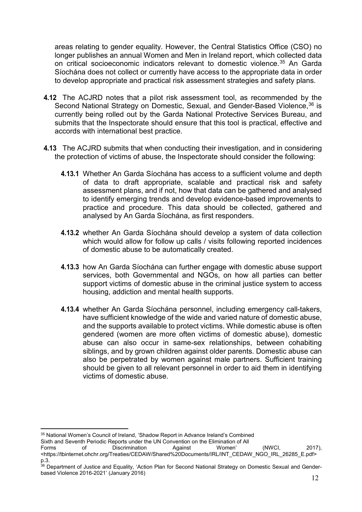areas relating to gender equality. However, the Central Statistics Office (CSO) no longer publishes an annual Women and Men in Ireland report, which collected data on critical socioeconomic indicators relevant to domestic violence. [35](#page-12-0) An Garda Síochána does not collect or currently have access to the appropriate data in order to develop appropriate and practical risk assessment strategies and safety plans.

- **4.12** The ACJRD notes that a pilot risk assessment tool, as recommended by the Second National Strategy on Domestic, Sexual, and Gender-Based Violence, [36](#page-12-1) is currently being rolled out by the Garda National Protective Services Bureau, and submits that the Inspectorate should ensure that this tool is practical, effective and accords with international best practice.
- **4.13** The ACJRD submits that when conducting their investigation, and in considering the protection of victims of abuse, the Inspectorate should consider the following:
	- **4.13.1** Whether An Garda Síochána has access to a sufficient volume and depth of data to draft appropriate, scalable and practical risk and safety assessment plans, and if not, how that data can be gathered and analysed to identify emerging trends and develop evidence-based improvements to practice and procedure. This data should be collected, gathered and analysed by An Garda Síochána, as first responders.
	- **4.13.2** whether An Garda Síochána should develop a system of data collection which would allow for follow up calls / visits following reported incidences of domestic abuse to be automatically created.
	- **4.13.3** how An Garda Síochána can further engage with domestic abuse support services, both Governmental and NGOs, on how all parties can better support victims of domestic abuse in the criminal justice system to access housing, addiction and mental health supports.
	- **4.13.4** whether An Garda Síochána personnel, including emergency call-takers, have sufficient knowledge of the wide and varied nature of domestic abuse, and the supports available to protect victims. While domestic abuse is often gendered (women are more often victims of domestic abuse), domestic abuse can also occur in same-sex relationships, between cohabiting siblings, and by grown children against older parents. Domestic abuse can also be perpetrated by women against male partners. Sufficient training should be given to all relevant personnel in order to aid them in identifying victims of domestic abuse.

 $\overline{a}$ <sup>35</sup> National Women's Council of Ireland, 'Shadow Report in Advance Ireland's Combined

<span id="page-12-0"></span>Sixth and Seventh Periodic Reports under the UN Convention on the Elimination of All<br>Forms of Discrimination Against Women'

Discrimination Against Women' (NWCI, 2017), <https://tbinternet.ohchr.org/Treaties/CEDAW/Shared%20Documents/IRL/INT\_CEDAW\_NGO\_IRL\_26285\_E.pdf>

<span id="page-12-1"></span>p.3.<br><sup>36</sup> Department of Justice and Equality, 'Action Plan for Second National Strategy on Domestic Sexual and Genderbased Violence 2016-2021' (January 2016)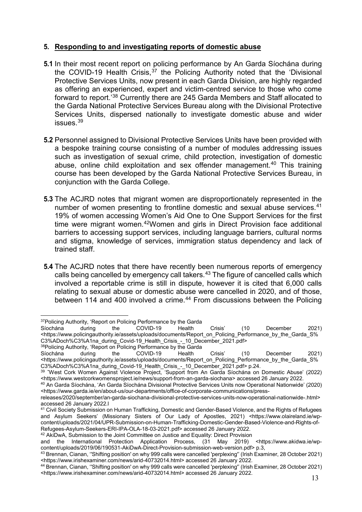# <span id="page-13-0"></span>**5. Responding to and investigating reports of domestic abuse**

- **5.1** In their most recent report on policing performance by An Garda Síochána during the COVID-19 Health Crisis,  $37$  the Policing Authority noted that the 'Divisional Protective Services Units, now present in each Garda Division, are highly regarded as offering an experienced, expert and victim-centred service to those who come forward to report.' [38](#page-13-2) Currently there are 245 Garda Members and Staff allocated to the Garda National Protective Services Bureau along with the Divisional Protective Services Units, dispersed nationally to investigate domestic abuse and wider issues.[39](#page-13-3)
- **5.2** Personnel assigned to Divisional Protective Services Units have been provided with a bespoke training course consisting of a number of modules addressing issues such as investigation of sexual crime, child protection, investigation of domestic abuse, online child exploitation and sex offender management.<sup>[40](#page-13-4)</sup> This training course has been developed by the Garda National Protective Services Bureau, in conjunction with the Garda College.
- **5.3** The ACJRD notes that migrant women are disproportionately represented in the number of women presenting to frontline domestic and sexual abuse services.<sup>[41](#page-13-5)</sup> 19% of women accessing Women's Aid One to One Support Services for the first time were migrant women.[42W](#page-13-6)omen and girls in Direct Provision face additional barriers to accessing support services, including language barriers, cultural norms and stigma, knowledge of services, immigration status dependency and lack of trained staff.
- **5.4** The ACJRD notes that there have recently been numerous reports of emergency calls being cancelled by emergency call takers.<sup>[43](#page-13-7)</sup> The figure of cancelled calls which involved a reportable crime is still in dispute, however it is cited that 6,000 calls relating to sexual abuse or domestic abuse were cancelled in 2020, and of those, between 114 and 400 involved a crime.<sup>[44](#page-13-8)</sup> From discussions between the Policing

```
38Policing Authority, 'Report on Policing Performance by the Garda<br>Síochána during the COVID-19 Health
```
<span id="page-13-2"></span>Síochána during the COVID-19 Health Crisis' (10 December 2021) <https://www.policingauthority.ie/assets/uploads/documents/Report\_on\_Policing\_Performance\_by\_the\_Garda\_S% C3%ADoch%C3%A1na\_during\_Covid-19\_Health\_Crisis\_-\_10\_December\_2021.pdf> p.24.

 $\overline{a}$  $37$ Policing Authority, 'Report on Policing Performance by the Garda<br>Síochána during the COVID-19 Health

<span id="page-13-1"></span>Síochána during the COVID-19 Health Crisis' (10 December 2021) <https://www.policingauthority.ie/assets/uploads/documents/Report\_on\_Policing\_Performance\_by\_the\_Garda\_S% C3%ADoch%C3%A1na\_during\_Covid-19\_Health\_Crisis\_-\_10\_December\_2021.pdf>

<span id="page-13-3"></span><sup>39</sup> ˇWest Cork Women Against Violence Project, 'Support from An Garda Síochána on Domestic Abuse' (2022) <https://www.westcorkwomensproject.ie/news/support-from-an-garda-siochana> accessed 26 January 2022.

<span id="page-13-4"></span><sup>40</sup> An Garda Síochána, 'An Garda Síochána Divisional Protective Services Units now Operational Nationwide' (2020) <https://www.garda.ie/en/about-us/our-departments/office-of-corporate-communications/press-

releases/2020/september/an-garda-siochana-divisional-protective-services-units-now-operational-nationwide-.html> accessed 26 January 2022.l

<span id="page-13-5"></span><sup>41</sup> Civil Society Submission on Human Trafficking, Domestic and Gender-Based Violence, and the Rights of Refugees and Asylum Seekers' (Missionary Sisters of Our Lady of Apostles, 2021) <https://www.olaireland.ie/wpcontent/uploads/2021/04/UPR-Submission-on-Human-Trafficking-Domestic-Gender-Based-Violence-and-Rights-of-Refugees-Asylum-Seekers-ERI-IPA-OLA-18-03-2021.pdf> accessed 26 January 2022.

<span id="page-13-6"></span><sup>42</sup> AkiDwA, Submission to the Joint Committee on Justice and Equality: Direct Provision

and the International Protection Application Process, (31 May 2019) <https://www.akidwa.ie/wpcontent/uploads/2019/06/190531-AkiDwA-Direct-Provision-submission-web-version.pdf> p.3,

<span id="page-13-7"></span><sup>&</sup>lt;sup>43</sup> Brennan, Cianan, "Shifting position' on why 999 calls were cancelled 'perplexing" (Irish Examiner, 28 October 2021) <https://www.irishexaminer.com/news/arid-40732014.html> accessed 26 January 2022.

<span id="page-13-8"></span><sup>44</sup> Brennan, Cianan, ''Shifting position' on why 999 calls were cancelled 'perplexing'' (Irish Examiner, 28 October 2021) <https://www.irishexaminer.com/news/arid-40732014.html> accessed 26 January 2022.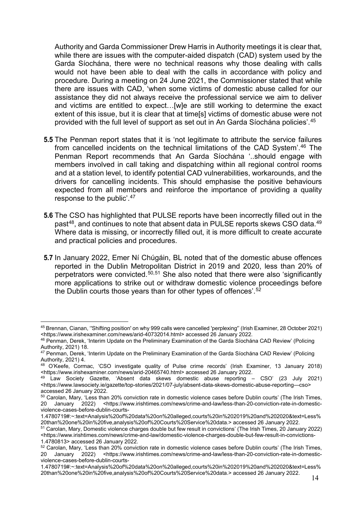Authority and Garda Commissioner Drew Harris in Authority meetings it is clear that, while there are issues with the computer-aided dispatch (CAD) system used by the Garda Síochána, there were no technical reasons why those dealing with calls would not have been able to deal with the calls in accordance with policy and procedure. During a meeting on 24 June 2021, the Commissioner stated that while there are issues with CAD, 'when some victims of domestic abuse called for our assistance they did not always receive the professional service we aim to deliver and victims are entitled to expect…[w]e are still working to determine the exact extent of this issue, but it is clear that at time[s] victims of domestic abuse were not provided with the full level of support as set out in An Garda Síochána policies'. [45](#page-14-0)

- **5.5** The Penman report states that it is 'not legitimate to attribute the service failures from cancelled incidents on the technical limitations of the CAD System'.[46](#page-14-1) The Penman Report recommends that An Garda Síochána '..should engage with members involved in call taking and dispatching within all regional control rooms and at a station level, to identify potential CAD vulnerabilities, workarounds, and the drivers for cancelling incidents. This should emphasise the positive behaviours expected from all members and reinforce the importance of providing a quality response to the public'.[47](#page-14-2)
- **5.6** The CSO has highlighted that PULSE reports have been incorrectly filled out in the past<sup>[48](#page-14-3)</sup>, and continues to note that absent data in PULSE reports skews CSO data.<sup>[49](#page-14-4)</sup> Where data is missing, or incorrectly filled out, it is more difficult to create accurate and practical policies and procedures.
- **5.7** In January 2022, Emer Ní Chúgáin, BL noted that of the domestic abuse offences reported in the Dublin Metropolitan District in 2019 and 2020, less than 20% of perpetrators were convicted.<sup>[50](#page-14-5),[51](#page-14-6)</sup> She also noted that there were also 'significantly more applications to strike out or withdraw domestic violence proceedings before the Dublin courts those years than for other types of offences'. [52](#page-14-7)

<span id="page-14-0"></span> $\overline{a}$ <sup>45</sup> Brennan, Cianan, ''Shifting position' on why 999 calls were cancelled 'perplexing'' (Irish Examiner, 28 October 2021) <https://www.irishexaminer.com/news/arid-40732014.html> accessed 26 January 2022.

<span id="page-14-1"></span><sup>46</sup> Penman, Derek, 'Interim Update on the Preliminary Examination of the Garda Síochána CAD Review' (Policing Authority, 2021) 18.

<span id="page-14-2"></span> $^{47}$  Penman, Derek, 'Interim Update on the Preliminary Examination of the Garda Síochána CAD Review' (Policing Authority, 2021) 4.

<span id="page-14-3"></span><sup>48</sup> O'Keefe, Cormac, 'CSO investigate quality of Pulse crime records' (Irish Examiner, 13 January 2018) <https://www.irishexaminer.com/news/arid-20465740.html> accessed 26 January 2022.

<span id="page-14-4"></span> $49$  Law Society Gazette, 'Absent data skews domestic abuse reporting – CSO' (23 July 2021) <https://www.lawsociety.ie/gazette/top-stories/2021/07-july/absent-data-skews-domestic-abuse-reporting—cso> accessed 26 January 2022.

<span id="page-14-5"></span> $50$  Carolan, Mary, 'Less than 20% conviction rate in domestic violence cases before Dublin courts' (The Irish Times,<br>20 January 2022) <https://www.irishtimes.com/news/crime-and-law/less-than-20-conviction-rate-in-domesti 20 January 2022) <https://www.irishtimes.com/news/crime-and-law/less-than-20-conviction-rate-in-domesticviolence-cases-before-dublin-courts-

<sup>1.4780719#:~:</sup>text=Analysis%20of%20data%20on%20alleged,courts%20in%202019%20and%202020&text=Less% 20than%20one%20in%20five,analysis%20of%20Courts%20Service%20data.> accessed 26 January 2022.

<span id="page-14-6"></span><sup>51</sup> Carolan, Mary, Domestic violence charges double but few result in convictions' (The Irish Times, 20 January 2022) <https://www.irishtimes.com/news/crime-and-law/domestic-violence-charges-double-but-few-result-in-convictions-1.4780813> accessed 26 January 2022.

<span id="page-14-7"></span> $52$  Carolan, Mary, 'Less than 20% conviction rate in domestic violence cases before Dublin courts' (The Irish Times, 20 January 2022) <https://www.irishtimes.com/news/crime-and-law/less-than-20-conviction-rate-in-domesticviolence-cases-before-dublin-courts-

<sup>1.4780719#:~:</sup>text=Analysis%20of%20data%20on%20alleged,courts%20in%202019%20and%202020&text=Less% 20than%20one%20in%20five,analysis%20of%20Courts%20Service%20data.> accessed 26 January 2022.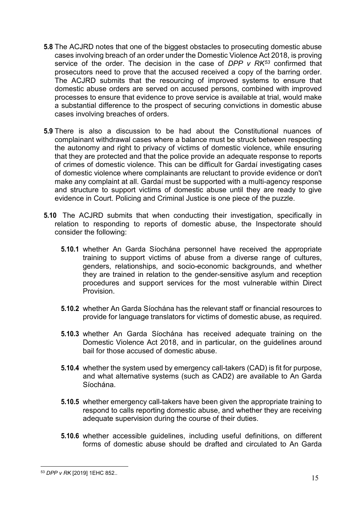- **5.8** The ACJRD notes that one of the biggest obstacles to prosecuting domestic abuse cases involving breach of an order under the Domestic Violence Act 2018, is proving service of the order. The decision in the case of *DPP v RK[53](#page-15-0)* confirmed that prosecutors need to prove that the accused received a copy of the barring order. The ACJRD submits that the resourcing of improved systems to ensure that domestic abuse orders are served on accused persons, combined with improved processes to ensure that evidence to prove service is available at trial, would make a substantial difference to the prospect of securing convictions in domestic abuse cases involving breaches of orders.
- **5.9** There is also a discussion to be had about the Constitutional nuances of complainant withdrawal cases where a balance must be struck between respecting the autonomy and right to privacy of victims of domestic violence, while ensuring that they are protected and that the police provide an adequate response to reports of crimes of domestic violence. This can be difficult for Gardaí investigating cases of domestic violence where complainants are reluctant to provide evidence or don't make any complaint at all. Gardaí must be supported with a multi-agency response and structure to support victims of domestic abuse until they are ready to give evidence in Court. Policing and Criminal Justice is one piece of the puzzle.
- **5.10** The ACJRD submits that when conducting their investigation, specifically in relation to responding to reports of domestic abuse, the Inspectorate should consider the following:
	- **5.10.1** whether An Garda Síochána personnel have received the appropriate training to support victims of abuse from a diverse range of cultures, genders, relationships, and socio-economic backgrounds, and whether they are trained in relation to the gender-sensitive asylum and reception procedures and support services for the most vulnerable within Direct Provision.
	- **5.10.2** whether An Garda Síochána has the relevant staff or financial resources to provide for language translators for victims of domestic abuse, as required.
	- **5.10.3** whether An Garda Síochána has received adequate training on the Domestic Violence Act 2018, and in particular, on the guidelines around bail for those accused of domestic abuse.
	- **5.10.4** whether the system used by emergency call-takers (CAD) is fit for purpose, and what alternative systems (such as CAD2) are available to An Garda Síochána.
	- **5.10.5** whether emergency call-takers have been given the appropriate training to respond to calls reporting domestic abuse, and whether they are receiving adequate supervision during the course of their duties.
	- **5.10.6** whether accessible guidelines, including useful definitions, on different forms of domestic abuse should be drafted and circulated to An Garda

<span id="page-15-0"></span> $\overline{a}$ <sup>53</sup> *DPP v RK* [2019] 1EHC 852..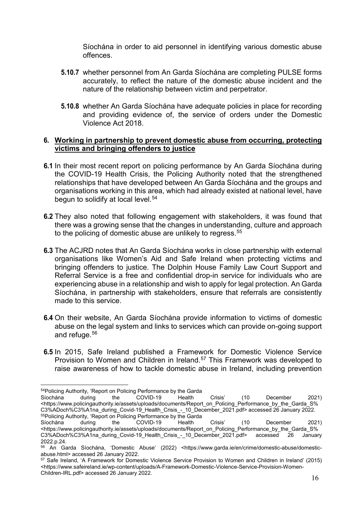Síochána in order to aid personnel in identifying various domestic abuse offences.

- **5.10.7** whether personnel from An Garda Síochána are completing PULSE forms accurately, to reflect the nature of the domestic abuse incident and the nature of the relationship between victim and perpetrator.
- **5.10.8** whether An Garda Síochána have adequate policies in place for recording and providing evidence of, the service of orders under the Domestic Violence Act 2018.

## <span id="page-16-0"></span>**6. Working in partnership to prevent domestic abuse from occurring, protecting victims and bringing offenders to justice**

- **6.1** In their most recent report on policing performance by An Garda Síochána during the COVID-19 Health Crisis, the Policing Authority noted that the strengthened relationships that have developed between An Garda Síochána and the groups and organisations working in this area, which had already existed at national level, have begun to solidify at local level.<sup>[54](#page-16-1)</sup>
- **6.2** They also noted that following engagement with stakeholders, it was found that there was a growing sense that the changes in understanding, culture and approach to the policing of domestic abuse are unlikely to regress.<sup>[55](#page-16-2)</sup>
- **6.3** The ACJRD notes that An Garda Síochána works in close partnership with external organisations like Women's Aid and Safe Ireland when protecting victims and bringing offenders to justice. The Dolphin House Family Law Court Support and Referral Service is a free and confidential drop-in service for individuals who are experiencing abuse in a relationship and wish to apply for legal protection. An Garda Síochána, in partnership with stakeholders, ensure that referrals are consistently made to this service.
- **6.4** On their website, An Garda Síochána provide information to victims of domestic abuse on the legal system and links to services which can provide on-going support and refuge.[56](#page-16-3)
- **6.5** In 2015, Safe Ireland published a Framework for Domestic Violence Service Provision to Women and Children in Ireland.<sup>[57](#page-16-4)</sup> This Framework was developed to raise awareness of how to tackle domestic abuse in Ireland, including prevention

<span id="page-16-1"></span>Síochána during the COVID-19 Health Crisis' (10 December 2021) <https://www.policingauthority.ie/assets/uploads/documents/Report\_on\_Policing\_Performance\_by\_the\_Garda\_S% C3%ADoch%C3%A1na\_during\_Covid-19\_Health\_Crisis\_-\_10\_December\_2021.pdf> accessed 26 January 2022.  $55P$ olicing Authority, 'Report on Policing Performance by the Garda<br>Síochána during the COVID-19 Health

 $\overline{a}$ <sup>54</sup>Policing Authority, 'Report on Policing Performance by the Garda<br>Síochána during the COVID-19 Health

<span id="page-16-2"></span>Síochána during the COVID-19 Health Crisis' (10 December 2021) <https://www.policingauthority.ie/assets/uploads/documents/Report\_on\_Policing\_Performance\_by\_the\_Garda\_S% C3%ADoch%C3%A1na\_during\_Covid-19\_Health\_Crisis\_-\_10\_December\_2021.pdf> accessed 26 January 2022.p.24.

<span id="page-16-3"></span><sup>56</sup> An Garda Síochána, 'Domestic Abuse' (2022) <https://www.garda.ie/en/crime/domestic-abuse/domesticabuse.html> accessed 26 January 2022.

<span id="page-16-4"></span><sup>57</sup> Safe Ireland, 'A Framework for Domestic Violence Service Provision to Women and Children in Ireland' (2015) <https://www.safeireland.ie/wp-content/uploads/A-Framework-Domestic-Violence-Service-Provision-Women-Children-IRL.pdf> accessed 26 January 2022.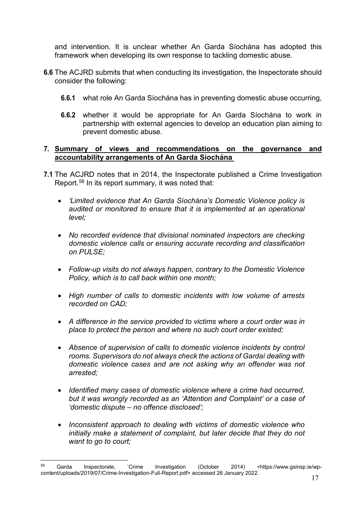and intervention. It is unclear whether An Garda Síochána has adopted this framework when developing its own response to tackling domestic abuse.

- **6.6** The ACJRD submits that when conducting its investigation, the Inspectorate should consider the following:
	- **6.6.1** what role An Garda Síochána has in preventing domestic abuse occurring,
	- **6.6.2** whether it would be appropriate for An Garda Síochána to work in partnership with external agencies to develop an education plan aiming to prevent domestic abuse.

## <span id="page-17-0"></span>**7. Summary of views and recommendations on the governance and accountability arrangements of An Garda Síochána**

- **7.1** The ACJRD notes that in 2014, the Inspectorate published a Crime Investigation Report.[58](#page-17-1) In its report summary, it was noted that:
	- *'Limited evidence that An Garda Síochána's Domestic Violence policy is audited or monitored to ensure that it is implemented at an operational level;*
	- *No recorded evidence that divisional nominated inspectors are checking domestic violence calls or ensuring accurate recording and classification on PULSE;*
	- *Follow-up visits do not always happen, contrary to the Domestic Violence Policy, which is to call back within one month;*
	- *High number of calls to domestic incidents with low volume of arrests recorded on CAD;*
	- *A difference in the service provided to victims where a court order was in place to protect the person and where no such court order existed;*
	- *Absence of supervision of calls to domestic violence incidents by control rooms. Supervisors do not always check the actions of Gardaí dealing with domestic violence cases and are not asking why an offender was not arrested;*
	- *Identified many cases of domestic violence where a crime had occurred, but it was wrongly recorded as an 'Attention and Complaint' or a case of 'domestic dispute – no offence disclosed';*
	- *Inconsistent approach to dealing with victims of domestic violence who initially make a statement of complaint, but later decide that they do not want to go to court;*

<span id="page-17-1"></span> $\overline{a}$ <sup>58</sup> Garda Inspectorate, 'Crime Investigation (October 2014) <https://www.gsinsp.ie/wpcontent/uploads/2019/07/Crime-Investigation-Full-Report.pdf> accessed 26 January 2022.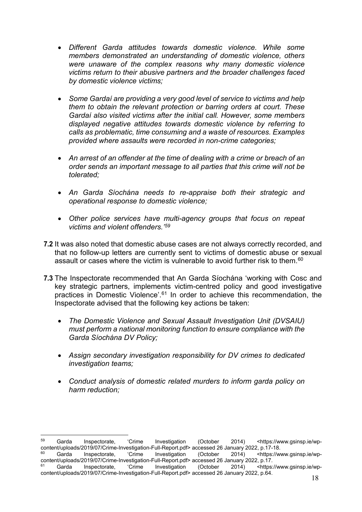- *Different Garda attitudes towards domestic violence. While some members demonstrated an understanding of domestic violence, others were unaware of the complex reasons why many domestic violence victims return to their abusive partners and the broader challenges faced by domestic violence victims;*
- *Some Gardaí are providing a very good level of service to victims and help them to obtain the relevant protection or barring orders at court. These Gardaí also visited victims after the initial call. However, some members displayed negative attitudes towards domestic violence by referring to calls as problematic, time consuming and a waste of resources. Examples provided where assaults were recorded in non-crime categories;*
- *An arrest of an offender at the time of dealing with a crime or breach of an order sends an important message to all parties that this crime will not be tolerated;*
- *An Garda Síochána needs to re-appraise both their strategic and operational response to domestic violence;*
- *Other police services have multi-agency groups that focus on repeat victims and violent offenders.'[59](#page-18-0)*
- **7.2** It was also noted that domestic abuse cases are not always correctly recorded, and that no follow-up letters are currently sent to victims of domestic abuse or sexual assault or cases where the victim is vulnerable to avoid further risk to them.<sup>[60](#page-18-1)</sup>
- **7.3** The Inspectorate recommended that An Garda Síochána 'working with Cosc and key strategic partners, implements victim-centred policy and good investigative practices in Domestic Violence'.<sup>[61](#page-18-2)</sup> In order to achieve this recommendation, the Inspectorate advised that the following key actions be taken:
	- *The Domestic Violence and Sexual Assault Investigation Unit (DVSAIU) must perform a national monitoring function to ensure compliance with the Garda Síochána DV Policy;*
	- *Assign secondary investigation responsibility for DV crimes to dedicated investigation teams;*
	- *Conduct analysis of domestic related murders to inform garda policy on harm reduction;*

 $\overline{a}$ 

<span id="page-18-2"></span><span id="page-18-1"></span><span id="page-18-0"></span><sup>59</sup> Garda Inspectorate, 'Crime Investigation (October 2014) <https://www.gsinsp.ie/wpcontent/uploads/2019/07/Crime-Investigation-Full-Report.pdf> accessed 26 January 2022, p.17-18.<br>
<sup>60</sup> Garda Inspectorate, 'Crime Investigation (October 2014) <https://w Garda Inspectorate, 'Crime Investigation (October 2014) <https://www.gsinsp.ie/wpcontent/uploads/2019/07/Crime-Investigation-Full-Report.pdf> accessed 26 January 2022, p.17.<br><sup>61</sup> Garda Inspectorate, 'Crime Investigation (October 2014) <https: <sup>61</sup> Garda Inspectorate, 'Crime Investigation (October 2014) <https://www.gsinsp.ie/wpcontent/uploads/2019/07/Crime-Investigation-Full-Report.pdf> accessed 26 January 2022, p.64.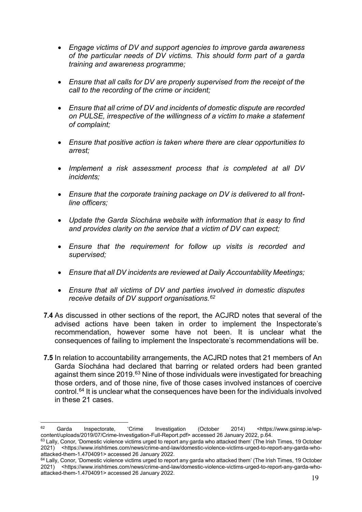- *Engage victims of DV and support agencies to improve garda awareness of the particular needs of DV victims. This should form part of a garda training and awareness programme;*
- *Ensure that all calls for DV are properly supervised from the receipt of the call to the recording of the crime or incident;*
- *Ensure that all crime of DV and incidents of domestic dispute are recorded on PULSE, irrespective of the willingness of a victim to make a statement of complaint;*
- *Ensure that positive action is taken where there are clear opportunities to arrest;*
- *Implement a risk assessment process that is completed at all DV incidents;*
- *Ensure that the corporate training package on DV is delivered to all frontline officers;*
- *Update the Garda Síochána website with information that is easy to find and provides clarity on the service that a victim of DV can expect;*
- *Ensure that the requirement for follow up visits is recorded and supervised;*
- *Ensure that all DV incidents are reviewed at Daily Accountability Meetings;*
- *Ensure that all victims of DV and parties involved in domestic disputes receive details of DV support organisations.[62](#page-19-0)*
- **7.4** As discussed in other sections of the report, the ACJRD notes that several of the advised actions have been taken in order to implement the Inspectorate's recommendation, however some have not been. It is unclear what the consequences of failing to implement the Inspectorate's recommendations will be.
- **7.5** In relation to accountability arrangements, the ACJRD notes that 21 members of An Garda Síochána had declared that barring or related orders had been granted against them since 2019.<sup>[63](#page-19-1)</sup> Nine of those individuals were investigated for breaching those orders, and of those nine, five of those cases involved instances of coercive control.[64](#page-19-2) It is unclear what the consequences have been for the individuals involved in these 21 cases.

<span id="page-19-0"></span><sup>62</sup> Garda Inspectorate, 'Crime Investigation (October 2014) <https://www.gsinsp.ie/wpcontent/uploads/2019/07/Crime-Investigation-Full-Report.pdf> accessed 26 January 2022, p.64.

<span id="page-19-1"></span> $63$  Lally, Conor, 'Domestic violence victims urged to report any garda who attacked them' (The Irish Times, 19 October 2021) <https://www.irishtimes.com/news/crime-and-law/domestic-violence-victims-urged-to-report-any-garda-whoattacked-them-1.4704091> accessed 26 January 2022.

<span id="page-19-2"></span><sup>64</sup> Lally, Conor, 'Domestic violence victims urged to report any garda who attacked them' (The Irish Times, 19 October 2021) <https://www.irishtimes.com/news/crime-and-law/domestic-violence-victims-urged-to-report-any-garda-whoattacked-them-1.4704091> accessed 26 January 2022.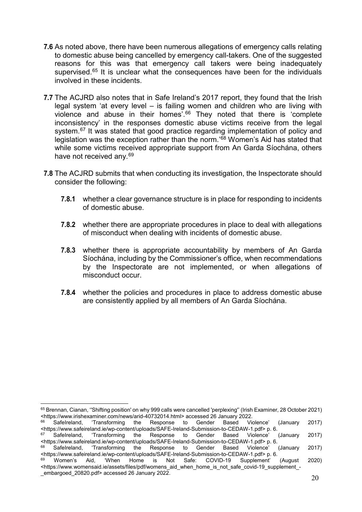- **7.6** As noted above, there have been numerous allegations of emergency calls relating to domestic abuse being cancelled by emergency call-takers. One of the suggested reasons for this was that emergency call takers were being inadequately supervised.<sup>[65](#page-20-0)</sup> It is unclear what the consequences have been for the individuals involved in these incidents.
- **7.7** The ACJRD also notes that in Safe Ireland's 2017 report, they found that the Irish legal system 'at every level – is failing women and children who are living with violence and abuse in their homes'.[66](#page-20-1) They noted that there is 'complete inconsistency' in the responses domestic abuse victims receive from the legal system.<sup>[67](#page-20-2)</sup> It was stated that good practice regarding implementation of policy and legislation was the exception rather than the norm.'[68](#page-20-3) Women's Aid has stated that while some victims received appropriate support from An Garda Síochána, others have not received any.<sup>[69](#page-20-4)</sup>
- **7.8** The ACJRD submits that when conducting its investigation, the Inspectorate should consider the following:
	- **7.8.1** whether a clear governance structure is in place for responding to incidents of domestic abuse.
	- **7.8.2** whether there are appropriate procedures in place to deal with allegations of misconduct when dealing with incidents of domestic abuse.
	- **7.8.3** whether there is appropriate accountability by members of An Garda Síochána, including by the Commissioner's office, when recommendations by the Inspectorate are not implemented, or when allegations of misconduct occur.
	- **7.8.4** whether the policies and procedures in place to address domestic abuse are consistently applied by all members of An Garda Síochána.

<span id="page-20-0"></span> $\overline{a}$ 65 Brennan, Cianan, "Shifting position' on why 999 calls were cancelled 'perplexing'' (Irish Examiner, 28 October 2021) <https://www.irishexaminer.com/news/arid-40732014.html> accessed 26 January 2022.

<span id="page-20-1"></span><sup>66</sup> SafeIreland, 'Transforming the Response to Gender Based Violence' (January 2017) <https://www.safeireland.ie/wp-content/uploads/SAFE-Ireland-Submission-to-CEDAW-1.pdf> p. 6.

<span id="page-20-2"></span>Gender Based Violence' (January 2017) <https://www.safeireland.ie/wp-content/uploads/SAFE-Ireland-Submission-to-CEDAW-1.pdf> p. 6.<br><sup>68</sup> SafeIreland, 'Transforming the Response to Gender Based Violence' (January

<span id="page-20-3"></span><sup>&#</sup>x27;Transforming the Response to Gender Based Violence' (January 2017) <https://www.safeireland.ie/wp-content/uploads/SAFE-Ireland-Submission-to-CEDAW-1.pdf> p. 6.

<span id="page-20-4"></span><sup>69</sup> Women's Aid, 'When Home is Not Safe: COVID-19 Supplement' (August 2020) <https://www.womensaid.ie/assets/files/pdf/womens\_aid\_when\_home\_is\_not\_safe\_covid-19\_supplement\_-\_embargoed\_20820.pdf> accessed 26 January 2022.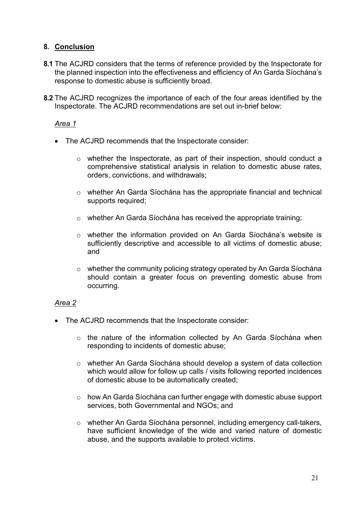# <span id="page-21-0"></span>**8. Conclusion**

- **8.1** The ACJRD considers that the terms of reference provided by the Inspectorate for the planned inspection into the effectiveness and efficiency of An Garda Síochána's response to domestic abuse is sufficiently broad.
- **8.2** The ACJRD recognizes the importance of each of the four areas identified by the Inspectorate. The ACJRD recommendations are set out in-brief below:

## *Area 1*

- The ACJRD recommends that the Inspectorate consider:
	- o whether the Inspectorate, as part of their inspection, should conduct a comprehensive statistical analysis in relation to domestic abuse rates, orders, convictions, and withdrawals;
	- o whether An Garda Síochána has the appropriate financial and technical supports required;
	- o whether An Garda Síochána has received the appropriate training;
	- o whether the information provided on An Garda Síochána's website is sufficiently descriptive and accessible to all victims of domestic abuse; and
	- o whether the community policing strategy operated by An Garda Síochána should contain a greater focus on preventing domestic abuse from occurring.

## *Area 2*

- The ACJRD recommends that the Inspectorate consider:
	- o the nature of the information collected by An Garda Síochána when responding to incidents of domestic abuse;
	- o whether An Garda Síochána should develop a system of data collection which would allow for follow up calls / visits following reported incidences of domestic abuse to be automatically created;
	- o how An Garda Síochána can further engage with domestic abuse support services, both Governmental and NGOs; and
	- o whether An Garda Síochána personnel, including emergency call-takers, have sufficient knowledge of the wide and varied nature of domestic abuse, and the supports available to protect victims.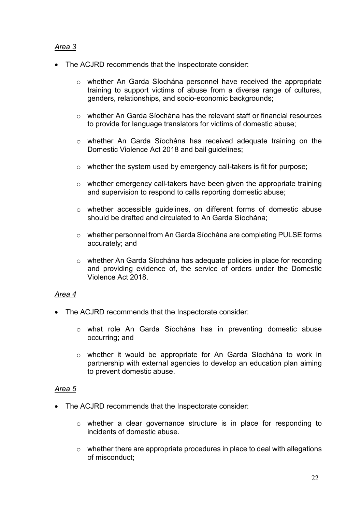# *Area 3*

- The ACJRD recommends that the Inspectorate consider:
	- o whether An Garda Síochána personnel have received the appropriate training to support victims of abuse from a diverse range of cultures, genders, relationships, and socio-economic backgrounds;
	- $\circ$  whether An Garda Síochána has the relevant staff or financial resources to provide for language translators for victims of domestic abuse;
	- o whether An Garda Síochána has received adequate training on the Domestic Violence Act 2018 and bail guidelines;
	- o whether the system used by emergency call-takers is fit for purpose;
	- o whether emergency call-takers have been given the appropriate training and supervision to respond to calls reporting domestic abuse;
	- o whether accessible guidelines, on different forms of domestic abuse should be drafted and circulated to An Garda Síochána;
	- o whether personnel from An Garda Síochána are completing PULSE forms accurately; and
	- $\circ$  whether An Garda Síochána has adequate policies in place for recording and providing evidence of, the service of orders under the Domestic Violence Act 2018.

# *Area 4*

- The ACJRD recommends that the Inspectorate consider:
	- o what role An Garda Síochána has in preventing domestic abuse occurring; and
	- o whether it would be appropriate for An Garda Síochána to work in partnership with external agencies to develop an education plan aiming to prevent domestic abuse.

# *Area 5*

- The ACJRD recommends that the Inspectorate consider:
	- o whether a clear governance structure is in place for responding to incidents of domestic abuse.
	- o whether there are appropriate procedures in place to deal with allegations of misconduct;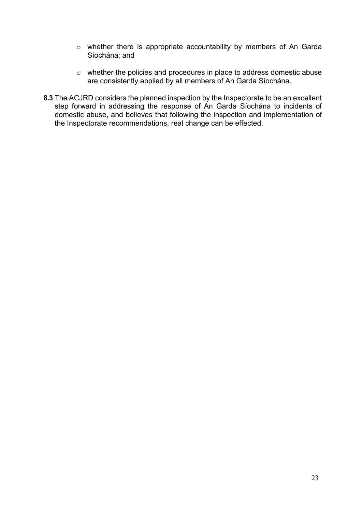- o whether there is appropriate accountability by members of An Garda Síochána; and
- o whether the policies and procedures in place to address domestic abuse are consistently applied by all members of An Garda Síochána.
- **8.3** The ACJRD considers the planned inspection by the Inspectorate to be an excellent step forward in addressing the response of An Garda Síochána to incidents of domestic abuse, and believes that following the inspection and implementation of the Inspectorate recommendations, real change can be effected.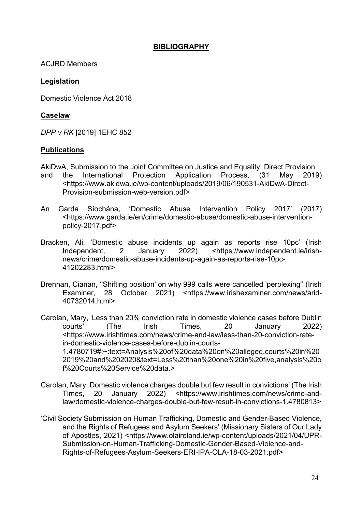## **BIBLIOGRAPHY**

<span id="page-24-0"></span>ACJRD Members

## **Legislation**

Domestic Violence Act 2018

## **Caselaw**

*DPP v RK* [2019] 1EHC 852

## **Publications**

- AkiDwA, Submission to the Joint Committee on Justice and Equality: Direct Provision and the International Protection Application Process, (31 May 2019) <https://www.akidwa.ie/wp-content/uploads/2019/06/190531-AkiDwA-Direct-Provision-submission-web-version.pdf>
- An Garda Síochána, 'Domestic Abuse Intervention Policy 2017' (2017) <https://www.garda.ie/en/crime/domestic-abuse/domestic-abuse-interventionpolicy-2017.pdf>
- Bracken, Ali, 'Domestic abuse incidents up again as reports rise 10pc' (Irish Independent, 2 January 2022) <https://www.independent.ie/irishnews/crime/domestic-abuse-incidents-up-again-as-reports-rise-10pc-41202283.html>
- Brennan, Cianan, ''Shifting position' on why 999 calls were cancelled 'perplexing'' (Irish Examiner, 28 October 2021) <https://www.irishexaminer.com/news/arid-40732014.html>
- Carolan, Mary, 'Less than 20% conviction rate in domestic violence cases before Dublin courts' (The Irish Times, 20 January 2022) <https://www.irishtimes.com/news/crime-and-law/less-than-20-conviction-ratein-domestic-violence-cases-before-dublin-courts-1.4780719#:~:text=Analysis%20of%20data%20on%20alleged,courts%20in%20 2019%20and%202020&text=Less%20than%20one%20in%20five,analysis%20o f%20Courts%20Service%20data.>
- Carolan, Mary, Domestic violence charges double but few result in convictions' (The Irish Times, 20 January 2022) <https://www.irishtimes.com/news/crime-andlaw/domestic-violence-charges-double-but-few-result-in-convictions-1.4780813>
- 'Civil Society Submission on Human Trafficking, Domestic and Gender-Based Violence, and the Rights of Refugees and Asylum Seekers' (Missionary Sisters of Our Lady of Apostles, 2021) <https://www.olaireland.ie/wp-content/uploads/2021/04/UPR-Submission-on-Human-Trafficking-Domestic-Gender-Based-Violence-and-Rights-of-Refugees-Asylum-Seekers-ERI-IPA-OLA-18-03-2021.pdf>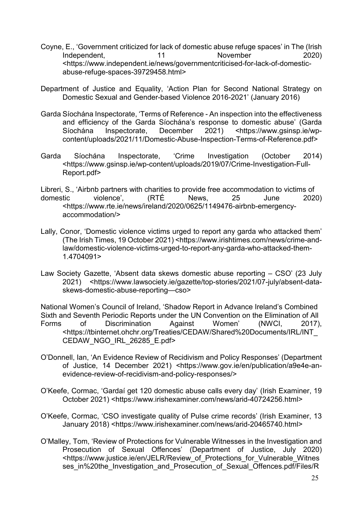- Coyne, E., 'Government criticized for lack of domestic abuse refuge spaces' in The (Irish<br>(2020) lndependent. 11 Movember Independent, 11 November 2020) <https://www.independent.ie/news/governmentcriticised-for-lack-of-domesticabuse-refuge-spaces-39729458.html>
- Department of Justice and Equality, 'Action Plan for Second National Strategy on Domestic Sexual and Gender-based Violence 2016-2021' (January 2016)
- Garda Síochána Inspectorate, 'Terms of Reference An inspection into the effectiveness and efficiency of the Garda Síochána's response to domestic abuse' (Garda<br>Síochána Inspectorate, December 2021) <https://www.gsinsp.ie/wp-Shttps://www.gsinsp.ie/wpcontent/uploads/2021/11/Domestic-Abuse-Inspection-Terms-of-Reference.pdf>
- Garda Síochána Inspectorate, 'Crime Investigation (October 2014) <https://www.gsinsp.ie/wp-content/uploads/2019/07/Crime-Investigation-Full-Report.pdf>
- Libreri, S., 'Airbnb partners with charities to provide free accommodation to victims of domestic violence', (RTÉ News, 25 June 2020) <https://www.rte.ie/news/ireland/2020/0625/1149476-airbnb-emergencyaccommodation/>
- Lally, Conor, 'Domestic violence victims urged to report any garda who attacked them' (The Irish Times, 19 October 2021) <https://www.irishtimes.com/news/crime-andlaw/domestic-violence-victims-urged-to-report-any-garda-who-attacked-them-1.4704091>
- Law Society Gazette, 'Absent data skews domestic abuse reporting CSO' (23 July 2021) <https://www.lawsociety.ie/gazette/top-stories/2021/07-july/absent-dataskews-domestic-abuse-reporting—cso>

National Women's Council of Ireland, 'Shadow Report in Advance Ireland's Combined Sixth and Seventh Periodic Reports under the UN Convention on the Elimination of All Forms of Discrimination Against Women' (NWCI, 2017), <https://tbinternet.ohchr.org/Treaties/CEDAW/Shared%20Documents/IRL/INT\_ CEDAW\_NGO\_IRL\_26285\_E.pdf>

- O'Donnell, Ian, 'An Evidence Review of Recidivism and Policy Responses' (Department of Justice, 14 December 2021) <https://www.gov.ie/en/publication/a9e4e-anevidence-review-of-recidivism-and-policy-responses/>
- O'Keefe, Cormac, 'Gardaí get 120 domestic abuse calls every day' (Irish Examiner, 19 October 2021) <https://www.irishexaminer.com/news/arid-40724256.html>
- O'Keefe, Cormac, 'CSO investigate quality of Pulse crime records' (Irish Examiner, 13 January 2018) <https://www.irishexaminer.com/news/arid-20465740.html>
- O'Malley, Tom, 'Review of Protections for Vulnerable Witnesses in the Investigation and Prosecution of Sexual Offences' (Department of Justice, July 2020) <https://www.justice.ie/en/JELR/Review\_of\_Protections\_for\_Vulnerable\_Witnes ses\_in%20the\_Investigation\_and\_Prosecution\_of\_Sexual\_Offences.pdf/Files/R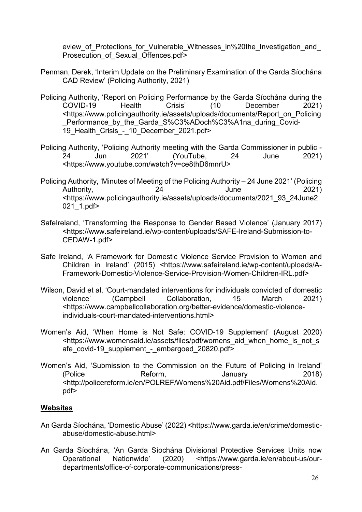eview of Protections for Vulnerable Witnesses in%20the Investigation and Prosecution of Sexual Offences.pdf>

- Penman, Derek, 'Interim Update on the Preliminary Examination of the Garda Síochána CAD Review' (Policing Authority, 2021)
- Policing Authority, 'Report on Policing Performance by the Garda Síochána during the<br>COVID-19 Health Crisis' (10 December 2021) COVID-19 Health Crisis' (10 December 2021) <https://www.policingauthority.ie/assets/uploads/documents/Report\_on\_Policing Performance by the Garda S%C3%ADoch%C3%A1na during Covid-19 Health Crisis - 10 December 2021.pdf>
- Policing Authority, 'Policing Authority meeting with the Garda Commissioner in public 24 Jun 2021' (YouTube, 24 June 2021) <https://www.youtube.com/watch?v=ce8thD6mnrU>
- Policing Authority, 'Minutes of Meeting of the Policing Authority 24 June 2021' (Policing Authority, 24 and 2021) <https://www.policingauthority.ie/assets/uploads/documents/2021\_93\_24June2 021\_1.pdf>
- SafeIreland, 'Transforming the Response to Gender Based Violence' (January 2017) <https://www.safeireland.ie/wp-content/uploads/SAFE-Ireland-Submission-to-CEDAW-1.pdf>
- Safe Ireland, 'A Framework for Domestic Violence Service Provision to Women and Children in Ireland' (2015) <https://www.safeireland.ie/wp-content/uploads/A-Framework-Domestic-Violence-Service-Provision-Women-Children-IRL.pdf>
- Wilson, David et al, 'Court-mandated interventions for individuals convicted of domestic violence' (Campbell Collaboration, 15 March 2021) <https://www.campbellcollaboration.org/better-evidence/domestic-violenceindividuals-court-mandated-interventions.html>
- Women's Aid, 'When Home is Not Safe: COVID-19 Supplement' (August 2020) <https://www.womensaid.ie/assets/files/pdf/womens\_aid\_when\_home\_is\_not\_s afe\_covid-19\_supplement - embargoed\_20820.pdf>
- Women's Aid, 'Submission to the Commission on the Future of Policing in Ireland' (Police Reform, January 2018) <http://policereform.ie/en/POLREF/Womens%20Aid.pdf/Files/Womens%20Aid. pdf>

# **Websites**

- An Garda Síochána, 'Domestic Abuse' (2022) <https://www.garda.ie/en/crime/domesticabuse/domestic-abuse.html>
- An Garda Síochána, 'An Garda Síochána Divisional Protective Services Units now<br>Operational Nationwide' (2020) <https://www.garda.ie/en/about-us/our-Operational Nationwide' (2020) <https://www.garda.ie/en/about-us/ourdepartments/office-of-corporate-communications/press-